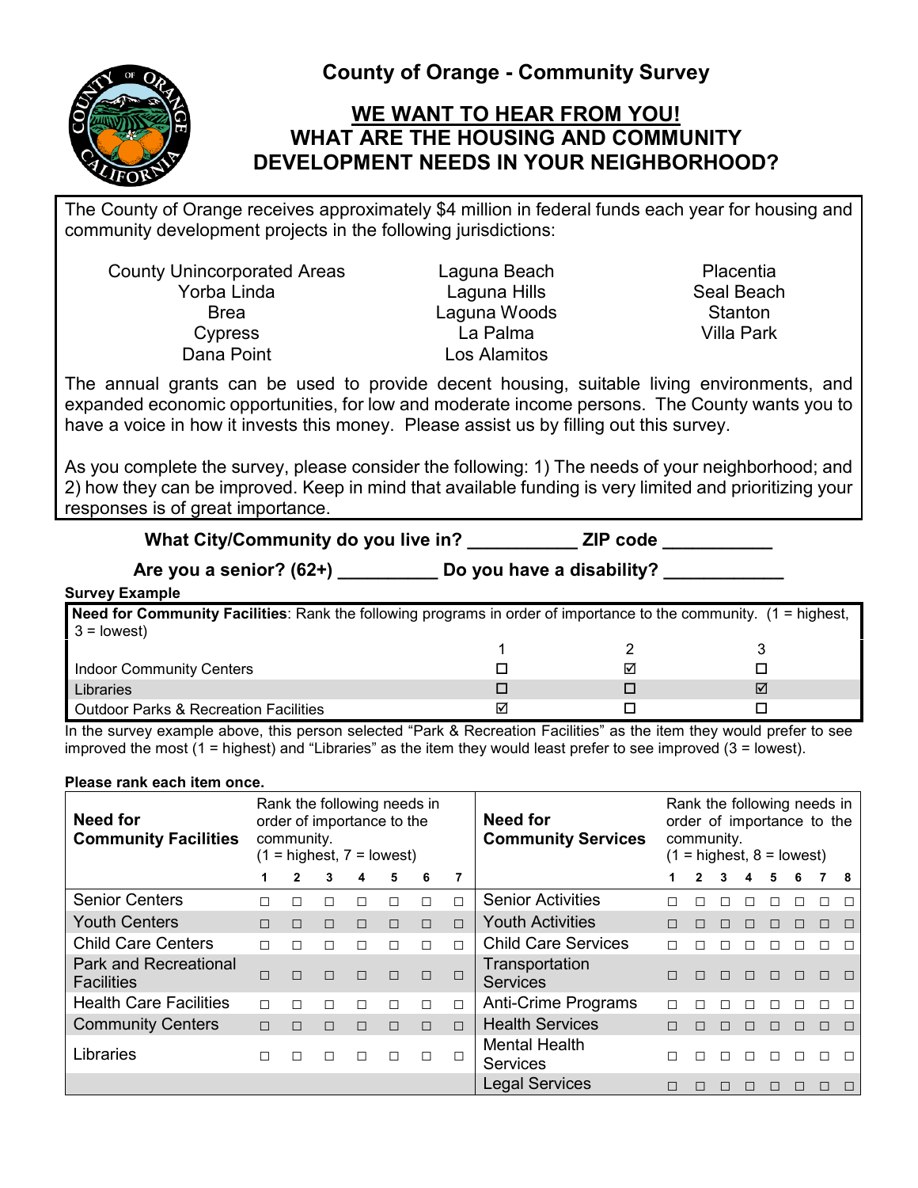

**County of Orange - Community Survey**

# **WE WANT TO HEAR FROM YOU! WHAT ARE THE HOUSING AND COMMUNITY DEVELOPMENT NEEDS IN YOUR NEIGHBORHOOD?**

The County of Orange receives approximately \$4 million in federal funds each year for housing and community development projects in the following jurisdictions:

County Unincorporated Areas Laguna Beach Placentia<br>Yorba Linda Laguna Hills Porba Laguna Hills Peach Brea Channel Laguna Woods Stanton Cypress La Palma Villa Park Dana Point **Los Alamitos** 

Laguna Hills Seal Beach

The annual grants can be used to provide decent housing, suitable living environments, and expanded economic opportunities, for low and moderate income persons. The County wants you to have a voice in how it invests this money. Please assist us by filling out this survey.

As you complete the survey, please consider the following: 1) The needs of your neighborhood; and 2) how they can be improved. Keep in mind that available funding is very limited and prioritizing your responses is of great importance.

| What City/Community do you live in? | <b>ZIP</b> code           |
|-------------------------------------|---------------------------|
| $A$ ro vou a conior? $(62+)$        | Do vou have a disability? |

**Are you a senior? (62+) \_\_\_\_\_\_\_\_\_\_ Do you have a disability? \_\_\_\_\_\_\_\_\_\_\_\_**

## **Survey Example**

| <b>Need for Community Facilities</b> : Rank the following programs in order of importance to the community. (1 = highest,<br>$3 =$ lowest) |  |  |  |  |  |  |  |  |  |  |  |
|--------------------------------------------------------------------------------------------------------------------------------------------|--|--|--|--|--|--|--|--|--|--|--|
|                                                                                                                                            |  |  |  |  |  |  |  |  |  |  |  |
| Indoor Community Centers                                                                                                                   |  |  |  |  |  |  |  |  |  |  |  |
| Libraries                                                                                                                                  |  |  |  |  |  |  |  |  |  |  |  |
| Outdoor Parks & Recreation Facilities                                                                                                      |  |  |  |  |  |  |  |  |  |  |  |

In the survey example above, this person selected "Park & Recreation Facilities" as the item they would prefer to see improved the most (1 = highest) and "Libraries" as the item they would least prefer to see improved (3 = lowest).

#### **Please rank each item once.**

| <b>Need for</b><br><b>Community Facilities</b>    |        | Rank the following needs in<br>order of importance to the<br>community.<br>$(1 =$ highest, $7 =$ lowest) |        |        |        |        |        | <b>Need for</b><br><b>Community Services</b> | Rank the following needs in<br>order of importance to the<br>community.<br>$(1 =$ highest, $8 =$ lowest) |              |   |              |    |        |        |
|---------------------------------------------------|--------|----------------------------------------------------------------------------------------------------------|--------|--------|--------|--------|--------|----------------------------------------------|----------------------------------------------------------------------------------------------------------|--------------|---|--------------|----|--------|--------|
|                                                   |        |                                                                                                          |        | 4      | 5      | 6      |        |                                              |                                                                                                          |              | 4 | 5            | 6  |        | 8      |
| <b>Senior Centers</b>                             |        |                                                                                                          |        |        |        | $\Box$ | $\Box$ | <b>Senior Activities</b>                     |                                                                                                          |              |   |              |    |        |        |
| <b>Youth Centers</b>                              | П      | $\Box$                                                                                                   | $\Box$ | $\Box$ | $\Box$ | $\Box$ | $\Box$ | <b>Youth Activities</b>                      |                                                                                                          |              |   | П            | П  | П      | $\Box$ |
| <b>Child Care Centers</b>                         | П      | $\Box$                                                                                                   |        | П      | $\Box$ | $\Box$ | П      | <b>Child Care Services</b>                   | П                                                                                                        |              |   | П            | П  |        |        |
| <b>Park and Recreational</b><br><b>Facilities</b> | $\Box$ | $\Box$                                                                                                   | $\Box$ | $\Box$ | $\Box$ | $\Box$ | $\Box$ | Transportation<br><b>Services</b>            | П                                                                                                        | $\mathsf{L}$ | П | $\Box$       | П  | $\Box$ |        |
| <b>Health Care Facilities</b>                     | П      | $\Box$                                                                                                   |        | П      | П      | $\Box$ | П      | <b>Anti-Crime Programs</b>                   |                                                                                                          |              |   |              |    |        |        |
| <b>Community Centers</b>                          | $\Box$ | $\Box$                                                                                                   | $\Box$ | $\Box$ | $\Box$ | $\Box$ | $\Box$ | <b>Health Services</b>                       | П                                                                                                        | П            |   | П            | П  | П      |        |
| Libraries                                         | П      | П                                                                                                        | П      | П      | П      | $\Box$ |        | <b>Mental Health</b><br><b>Services</b>      |                                                                                                          |              |   | $\mathbf{L}$ | ΙI | П      |        |
|                                                   |        |                                                                                                          |        |        |        |        |        | <b>Legal Services</b>                        |                                                                                                          |              |   |              |    |        |        |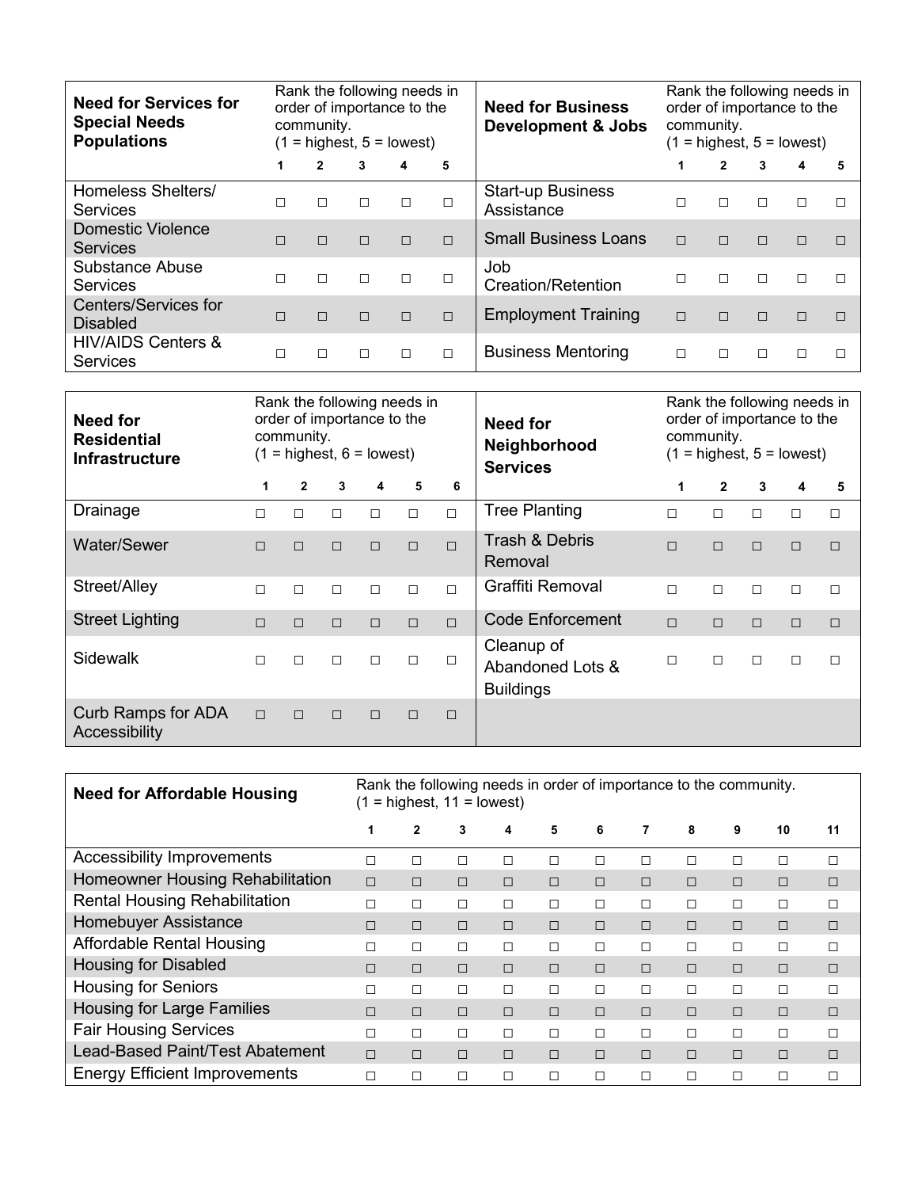| <b>Need for Services for</b><br><b>Special Needs</b><br><b>Populations</b> | Rank the following needs in<br>order of importance to the<br>community.<br>$=$ highest, $5 =$ lowest)<br>(1) |        |        |        |        | <b>Need for Business</b><br><b>Development &amp; Jobs</b> | Rank the following needs in<br>order of importance to the<br>community.<br>$(1 =$ highest, $5 =$ lowest) |        |        |        |  |  |  |
|----------------------------------------------------------------------------|--------------------------------------------------------------------------------------------------------------|--------|--------|--------|--------|-----------------------------------------------------------|----------------------------------------------------------------------------------------------------------|--------|--------|--------|--|--|--|
|                                                                            | 1                                                                                                            | 2      | 3      | 4      | 5      |                                                           |                                                                                                          | 2      | 3      | 4      |  |  |  |
| Homeless Shelters/<br><b>Services</b>                                      | П                                                                                                            | П      | $\Box$ | П      |        | <b>Start-up Business</b><br>Assistance                    | П                                                                                                        | $\Box$ | П      | П      |  |  |  |
| <b>Domestic Violence</b><br><b>Services</b>                                | $\Box$                                                                                                       | $\Box$ | $\Box$ | $\Box$ | $\Box$ | <b>Small Business Loans</b>                               | $\Box$                                                                                                   | $\Box$ | $\Box$ | $\Box$ |  |  |  |
| <b>Substance Abuse</b><br><b>Services</b>                                  | П                                                                                                            | $\Box$ | $\Box$ | П      | П      | Job.<br><b>Creation/Retention</b>                         | П                                                                                                        | $\Box$ | П      |        |  |  |  |
| <b>Centers/Services for</b><br><b>Disabled</b>                             | $\Box$                                                                                                       | $\Box$ | $\Box$ | $\Box$ | $\Box$ | <b>Employment Training</b>                                | $\Box$                                                                                                   | $\Box$ | $\Box$ | $\Box$ |  |  |  |
| <b>HIV/AIDS Centers &amp;</b><br><b>Services</b>                           |                                                                                                              | П      | П      |        | П      | <b>Business Mentoring</b>                                 | П                                                                                                        | П      |        |        |  |  |  |

| Rank the following needs in<br>order of importance to the<br>Need for<br>community.<br><b>Residential</b><br>$(1 =$ highest, $6 =$ lowest)<br><b>Infrastructure</b> |        |              |        |        |        |        | <b>Need for</b><br>Neighborhood<br><b>Services</b> | Rank the following needs in<br>order of importance to the<br>community.<br>$(1 =$ highest, $5 =$ lowest) |              |   |        |        |  |  |  |
|---------------------------------------------------------------------------------------------------------------------------------------------------------------------|--------|--------------|--------|--------|--------|--------|----------------------------------------------------|----------------------------------------------------------------------------------------------------------|--------------|---|--------|--------|--|--|--|
|                                                                                                                                                                     | 1      | $\mathbf{2}$ | 3      | 4      | 5      | 6      |                                                    | 1                                                                                                        | $\mathbf{2}$ | 3 | 4      | 5      |  |  |  |
| Drainage                                                                                                                                                            | $\Box$ | П            | $\Box$ | П      | $\Box$ | $\Box$ | <b>Tree Planting</b>                               | $\Box$                                                                                                   | $\Box$       | П | $\Box$ | $\Box$ |  |  |  |
| Water/Sewer                                                                                                                                                         | $\Box$ | $\Box$       | $\Box$ | $\Box$ | $\Box$ | $\Box$ | <b>Trash &amp; Debris</b><br>Removal               | $\Box$                                                                                                   | $\Box$       | П | $\Box$ | $\Box$ |  |  |  |
| Street/Alley                                                                                                                                                        | $\Box$ | П            | $\Box$ | П      | $\Box$ | $\Box$ | <b>Graffiti Removal</b>                            | $\Box$                                                                                                   | П            | П | $\Box$ | $\Box$ |  |  |  |
| <b>Street Lighting</b>                                                                                                                                              | $\Box$ | $\Box$       | $\Box$ | П      | $\Box$ | $\Box$ | <b>Code Enforcement</b>                            | $\Box$                                                                                                   | $\Box$       | П | $\Box$ | $\Box$ |  |  |  |
| Sidewalk                                                                                                                                                            | $\Box$ | П            | $\Box$ | П      | $\Box$ | $\Box$ | Cleanup of<br>Abandoned Lots &<br><b>Buildings</b> | П                                                                                                        | $\Box$       | П | $\Box$ | $\Box$ |  |  |  |
| <b>Curb Ramps for ADA</b><br>Accessibility                                                                                                                          | $\Box$ | $\Box$       | $\Box$ | $\Box$ | $\Box$ | $\Box$ |                                                    |                                                                                                          |              |   |        |        |  |  |  |

| <b>Need for Affordable Housing</b>   | Rank the following needs in order of importance to the community.<br>$=$ highest, 11 = lowest) |        |        |        |        |        |        |        |        |        |    |  |  |
|--------------------------------------|------------------------------------------------------------------------------------------------|--------|--------|--------|--------|--------|--------|--------|--------|--------|----|--|--|
|                                      | 1                                                                                              | 2      | 3      | 4      | 5      | 6      | 7      | 8      | 9      | 10     | 11 |  |  |
| <b>Accessibility Improvements</b>    | П                                                                                              | П      | П      | П      | П      | Г      | П      |        | г      | П      | П  |  |  |
| Homeowner Housing Rehabilitation     | $\Box$                                                                                         | $\Box$ | $\Box$ | П      | $\Box$ | П      | $\Box$ | $\Box$ | $\Box$ | $\Box$ | □  |  |  |
| <b>Rental Housing Rehabilitation</b> | П                                                                                              | П      | П      | П      | $\Box$ | $\Box$ | □      | П      | П      | П      | □  |  |  |
| <b>Homebuyer Assistance</b>          | П                                                                                              | $\Box$ | $\Box$ | П      | $\Box$ | П      | $\Box$ | $\Box$ | $\Box$ | $\Box$ | □  |  |  |
| <b>Affordable Rental Housing</b>     | П                                                                                              | П      | П      | П      | П      | Г      | П      | П      | П      | П      | П  |  |  |
| <b>Housing for Disabled</b>          | П                                                                                              | $\Box$ | $\Box$ | $\Box$ | $\Box$ | П      | П      | $\Box$ | $\Box$ | $\Box$ | ⊓  |  |  |
| <b>Housing for Seniors</b>           | П                                                                                              | П      | П      | П      | П      | П      | П      | П      | П      | П      | П  |  |  |
| <b>Housing for Large Families</b>    | $\Box$                                                                                         | $\Box$ | $\Box$ | $\Box$ | $\Box$ | П      | $\Box$ | $\Box$ | $\Box$ | П      | ⊓  |  |  |
| <b>Fair Housing Services</b>         | П                                                                                              | П      | П      | П      | $\Box$ | П      | П      | П      | П      | П      | П  |  |  |
| Lead-Based Paint/Test Abatement      | $\Box$                                                                                         | П      | $\Box$ | П      | $\Box$ | П      | П      | $\Box$ | П      | П      | □  |  |  |
| <b>Energy Efficient Improvements</b> | П                                                                                              | П      | П      | П      | П      | Г      | $\Box$ |        | П      | П      |    |  |  |